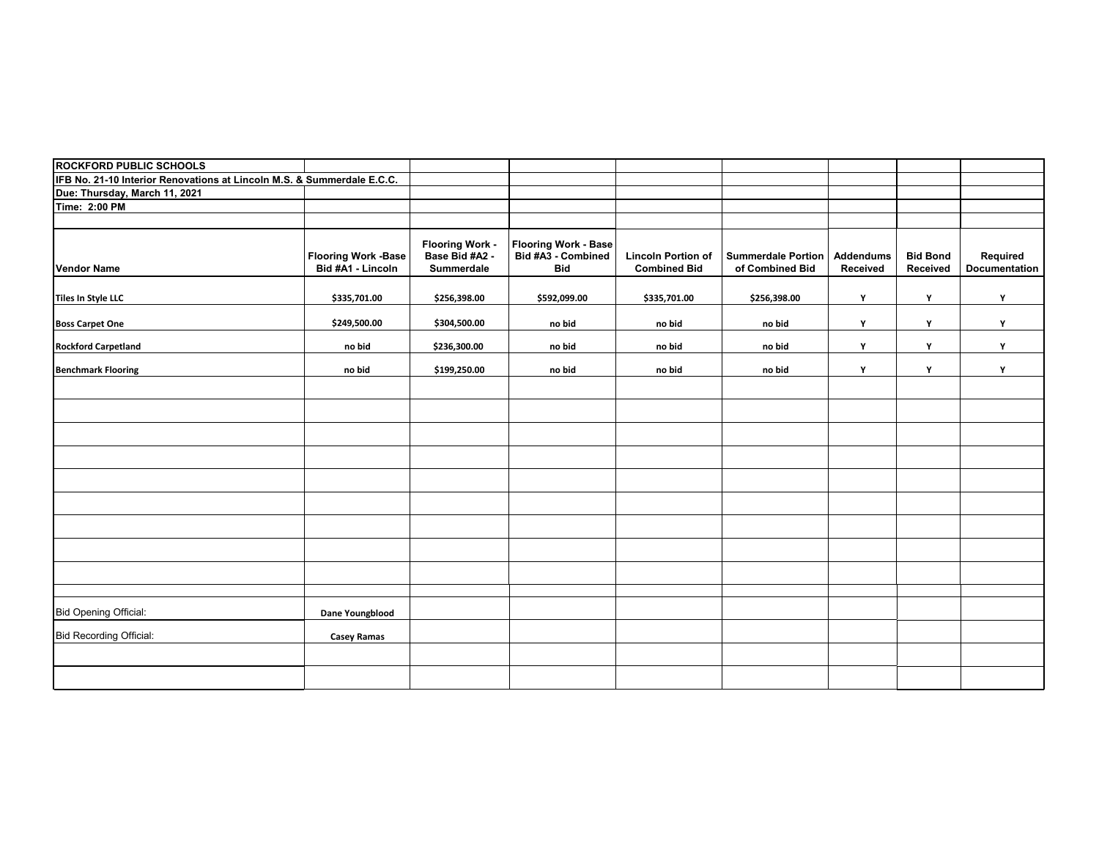| <b>ROCKFORD PUBLIC SCHOOLS</b>                                         |                                                 |                                                        |                                                                 |                                                  |                                              |                              |                             |                           |
|------------------------------------------------------------------------|-------------------------------------------------|--------------------------------------------------------|-----------------------------------------------------------------|--------------------------------------------------|----------------------------------------------|------------------------------|-----------------------------|---------------------------|
| IFB No. 21-10 Interior Renovations at Lincoln M.S. & Summerdale E.C.C. |                                                 |                                                        |                                                                 |                                                  |                                              |                              |                             |                           |
| Due: Thursday, March 11, 2021                                          |                                                 |                                                        |                                                                 |                                                  |                                              |                              |                             |                           |
| Time: 2:00 PM                                                          |                                                 |                                                        |                                                                 |                                                  |                                              |                              |                             |                           |
|                                                                        |                                                 |                                                        |                                                                 |                                                  |                                              |                              |                             |                           |
| <b>Vendor Name</b>                                                     | <b>Flooring Work -Base</b><br>Bid #A1 - Lincoln | <b>Flooring Work -</b><br>Base Bid #A2 -<br>Summerdale | <b>Flooring Work - Base</b><br>Bid #A3 - Combined<br><b>Bid</b> | <b>Lincoln Portion of</b><br><b>Combined Bid</b> | <b>Summerdale Portion</b><br>of Combined Bid | <b>Addendums</b><br>Received | <b>Bid Bond</b><br>Received | Required<br>Documentation |
| Tiles In Style LLC                                                     | \$335,701.00                                    | \$256,398.00                                           | \$592,099.00                                                    | \$335,701.00                                     | \$256,398.00                                 | Y                            | Υ                           | Y                         |
| <b>Boss Carpet One</b>                                                 | \$249,500.00                                    | \$304,500.00                                           | no bid                                                          | no bid                                           | no bid                                       | Y                            | Υ                           | Y                         |
| <b>Rockford Carpetland</b>                                             | no bid                                          | \$236,300.00                                           | no bid                                                          | no bid                                           | no bid                                       | Y                            | Y                           | Y                         |
| <b>Benchmark Flooring</b>                                              | no bid                                          | \$199,250.00                                           | no bid                                                          | no bid                                           | no bid                                       | Y                            | Y                           | Y                         |
|                                                                        |                                                 |                                                        |                                                                 |                                                  |                                              |                              |                             |                           |
|                                                                        |                                                 |                                                        |                                                                 |                                                  |                                              |                              |                             |                           |
|                                                                        |                                                 |                                                        |                                                                 |                                                  |                                              |                              |                             |                           |
|                                                                        |                                                 |                                                        |                                                                 |                                                  |                                              |                              |                             |                           |
|                                                                        |                                                 |                                                        |                                                                 |                                                  |                                              |                              |                             |                           |
|                                                                        |                                                 |                                                        |                                                                 |                                                  |                                              |                              |                             |                           |
|                                                                        |                                                 |                                                        |                                                                 |                                                  |                                              |                              |                             |                           |
|                                                                        |                                                 |                                                        |                                                                 |                                                  |                                              |                              |                             |                           |
|                                                                        |                                                 |                                                        |                                                                 |                                                  |                                              |                              |                             |                           |
|                                                                        |                                                 |                                                        |                                                                 |                                                  |                                              |                              |                             |                           |
| <b>Bid Opening Official:</b>                                           | Dane Youngblood                                 |                                                        |                                                                 |                                                  |                                              |                              |                             |                           |
| <b>Bid Recording Official:</b>                                         | <b>Casey Ramas</b>                              |                                                        |                                                                 |                                                  |                                              |                              |                             |                           |
|                                                                        |                                                 |                                                        |                                                                 |                                                  |                                              |                              |                             |                           |
|                                                                        |                                                 |                                                        |                                                                 |                                                  |                                              |                              |                             |                           |